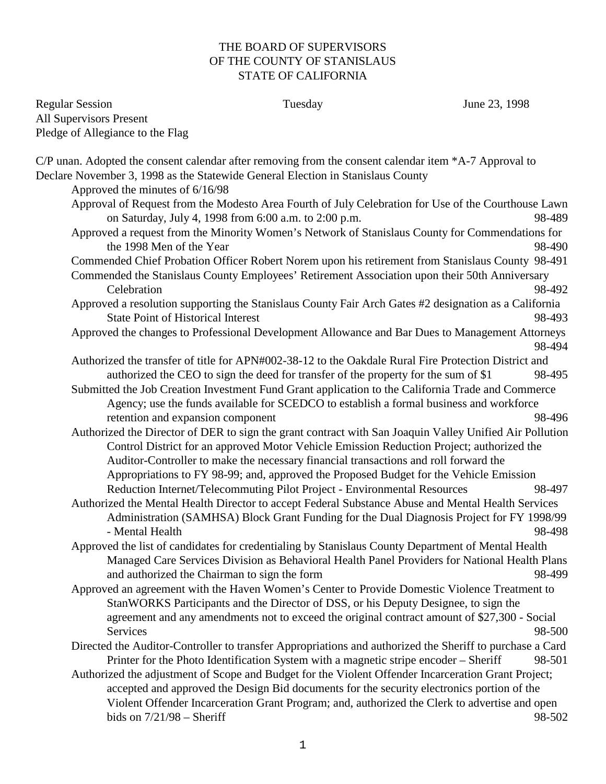## THE BOARD OF SUPERVISORS OF THE COUNTY OF STANISLAUS STATE OF CALIFORNIA

Regular Session Tuesday June 23, 1998 All Supervisors Present Pledge of Allegiance to the Flag

| C/P unan. Adopted the consent calendar after removing from the consent calendar item *A-7 Approval to                                                                                |  |
|--------------------------------------------------------------------------------------------------------------------------------------------------------------------------------------|--|
| Declare November 3, 1998 as the Statewide General Election in Stanislaus County                                                                                                      |  |
| Approved the minutes of 6/16/98                                                                                                                                                      |  |
| Approval of Request from the Modesto Area Fourth of July Celebration for Use of the Courthouse Lawn<br>98-489                                                                        |  |
| on Saturday, July 4, 1998 from 6:00 a.m. to 2:00 p.m.                                                                                                                                |  |
| Approved a request from the Minority Women's Network of Stanislaus County for Commendations for                                                                                      |  |
| the 1998 Men of the Year<br>98-490                                                                                                                                                   |  |
| Commended Chief Probation Officer Robert Norem upon his retirement from Stanislaus County 98-491                                                                                     |  |
| Commended the Stanislaus County Employees' Retirement Association upon their 50th Anniversary<br>98-492<br>Celebration                                                               |  |
| Approved a resolution supporting the Stanislaus County Fair Arch Gates #2 designation as a California                                                                                |  |
| <b>State Point of Historical Interest</b><br>98-493                                                                                                                                  |  |
| Approved the changes to Professional Development Allowance and Bar Dues to Management Attorneys<br>98-494                                                                            |  |
| Authorized the transfer of title for APN#002-38-12 to the Oakdale Rural Fire Protection District and                                                                                 |  |
| authorized the CEO to sign the deed for transfer of the property for the sum of \$1<br>98-495                                                                                        |  |
| Submitted the Job Creation Investment Fund Grant application to the California Trade and Commerce                                                                                    |  |
| Agency; use the funds available for SCEDCO to establish a formal business and workforce                                                                                              |  |
| retention and expansion component<br>98-496                                                                                                                                          |  |
| Authorized the Director of DER to sign the grant contract with San Joaquin Valley Unified Air Pollution                                                                              |  |
| Control District for an approved Motor Vehicle Emission Reduction Project; authorized the                                                                                            |  |
| Auditor-Controller to make the necessary financial transactions and roll forward the                                                                                                 |  |
| Appropriations to FY 98-99; and, approved the Proposed Budget for the Vehicle Emission                                                                                               |  |
| Reduction Internet/Telecommuting Pilot Project - Environmental Resources<br>98-497                                                                                                   |  |
| Authorized the Mental Health Director to accept Federal Substance Abuse and Mental Health Services                                                                                   |  |
| Administration (SAMHSA) Block Grant Funding for the Dual Diagnosis Project for FY 1998/99                                                                                            |  |
| - Mental Health<br>98-498                                                                                                                                                            |  |
| Approved the list of candidates for credentialing by Stanislaus County Department of Mental Health                                                                                   |  |
| Managed Care Services Division as Behavioral Health Panel Providers for National Health Plans                                                                                        |  |
| 98-499<br>and authorized the Chairman to sign the form                                                                                                                               |  |
| Approved an agreement with the Haven Women's Center to Provide Domestic Violence Treatment to<br>StanWORKS Participants and the Director of DSS, or his Deputy Designee, to sign the |  |
| agreement and any amendments not to exceed the original contract amount of \$27,300 - Social<br>Services<br>98-500                                                                   |  |
| Directed the Auditor-Controller to transfer Appropriations and authorized the Sheriff to purchase a Card                                                                             |  |
| Printer for the Photo Identification System with a magnetic stripe encoder – Sheriff<br>98-501                                                                                       |  |
| Authorized the adjustment of Scope and Budget for the Violent Offender Incarceration Grant Project;                                                                                  |  |
| accepted and approved the Design Bid documents for the security electronics portion of the                                                                                           |  |
| Violent Offender Incarceration Grant Program; and, authorized the Clerk to advertise and open                                                                                        |  |
| bids on $7/21/98$ - Sheriff<br>98-502                                                                                                                                                |  |
|                                                                                                                                                                                      |  |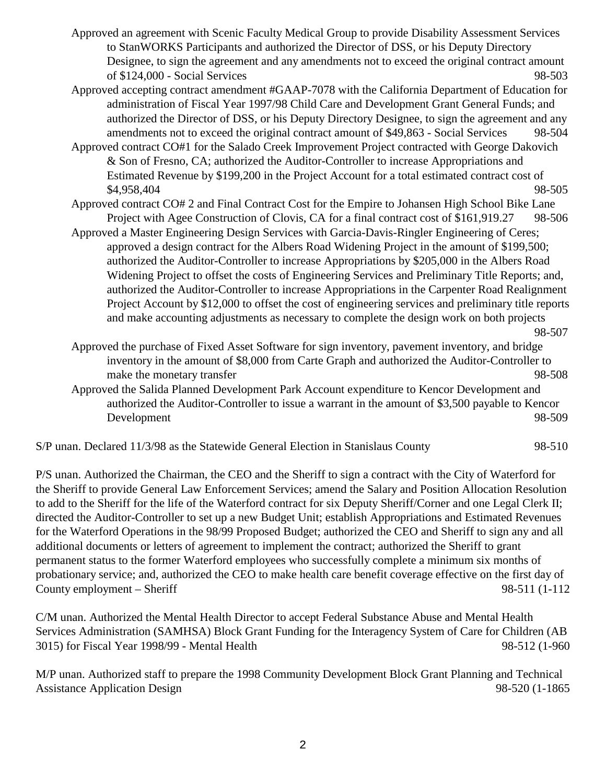- Approved an agreement with Scenic Faculty Medical Group to provide Disability Assessment Services to StanWORKS Participants and authorized the Director of DSS, or his Deputy Directory Designee, to sign the agreement and any amendments not to exceed the original contract amount of \$124,000 - Social Services 98-503
- Approved accepting contract amendment #GAAP-7078 with the California Department of Education for administration of Fiscal Year 1997/98 Child Care and Development Grant General Funds; and authorized the Director of DSS, or his Deputy Directory Designee, to sign the agreement and any amendments not to exceed the original contract amount of \$49,863 - Social Services 98-504
- Approved contract CO#1 for the Salado Creek Improvement Project contracted with George Dakovich & Son of Fresno, CA; authorized the Auditor-Controller to increase Appropriations and Estimated Revenue by \$199,200 in the Project Account for a total estimated contract cost of \$4,958,404 98-505
- Approved contract CO# 2 and Final Contract Cost for the Empire to Johansen High School Bike Lane Project with Agee Construction of Clovis, CA for a final contract cost of \$161,919.27 98-506
- Approved a Master Engineering Design Services with Garcia-Davis-Ringler Engineering of Ceres; approved a design contract for the Albers Road Widening Project in the amount of \$199,500; authorized the Auditor-Controller to increase Appropriations by \$205,000 in the Albers Road Widening Project to offset the costs of Engineering Services and Preliminary Title Reports; and, authorized the Auditor-Controller to increase Appropriations in the Carpenter Road Realignment Project Account by \$12,000 to offset the cost of engineering services and preliminary title reports and make accounting adjustments as necessary to complete the design work on both projects

- Approved the purchase of Fixed Asset Software for sign inventory, pavement inventory, and bridge inventory in the amount of \$8,000 from Carte Graph and authorized the Auditor-Controller to make the monetary transfer 98-508
- Approved the Salida Planned Development Park Account expenditure to Kencor Development and authorized the Auditor-Controller to issue a warrant in the amount of \$3,500 payable to Kencor Development 98-509

S/P unan. Declared 11/3/98 as the Statewide General Election in Stanislaus County 98-510

P/S unan. Authorized the Chairman, the CEO and the Sheriff to sign a contract with the City of Waterford for the Sheriff to provide General Law Enforcement Services; amend the Salary and Position Allocation Resolution to add to the Sheriff for the life of the Waterford contract for six Deputy Sheriff/Corner and one Legal Clerk II; directed the Auditor-Controller to set up a new Budget Unit; establish Appropriations and Estimated Revenues for the Waterford Operations in the 98/99 Proposed Budget; authorized the CEO and Sheriff to sign any and all additional documents or letters of agreement to implement the contract; authorized the Sheriff to grant permanent status to the former Waterford employees who successfully complete a minimum six months of probationary service; and, authorized the CEO to make health care benefit coverage effective on the first day of County employment – Sheriff 98-511 (1-112

C/M unan. Authorized the Mental Health Director to accept Federal Substance Abuse and Mental Health Services Administration (SAMHSA) Block Grant Funding for the Interagency System of Care for Children (AB 3015) for Fiscal Year 1998/99 - Mental Health 98-512 (1-960

M/P unan. Authorized staff to prepare the 1998 Community Development Block Grant Planning and Technical Assistance Application Design 98-520 (1-1865

<sup>98-507</sup>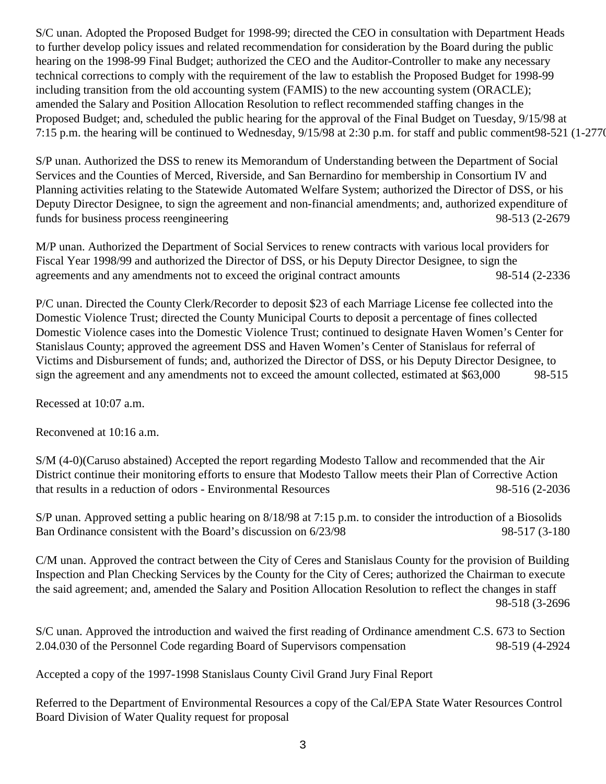S/C unan. Adopted the Proposed Budget for 1998-99; directed the CEO in consultation with Department Heads to further develop policy issues and related recommendation for consideration by the Board during the public hearing on the 1998-99 Final Budget; authorized the CEO and the Auditor-Controller to make any necessary technical corrections to comply with the requirement of the law to establish the Proposed Budget for 1998-99 including transition from the old accounting system (FAMIS) to the new accounting system (ORACLE); amended the Salary and Position Allocation Resolution to reflect recommended staffing changes in the Proposed Budget; and, scheduled the public hearing for the approval of the Final Budget on Tuesday, 9/15/98 at 7:15 p.m. the hearing will be continued to Wednesday, 9/15/98 at 2:30 p.m. for staff and public comment98-521 (1-2770

S/P unan. Authorized the DSS to renew its Memorandum of Understanding between the Department of Social Services and the Counties of Merced, Riverside, and San Bernardino for membership in Consortium IV and Planning activities relating to the Statewide Automated Welfare System; authorized the Director of DSS, or his Deputy Director Designee, to sign the agreement and non-financial amendments; and, authorized expenditure of funds for business process reengineering 98-513 (2-2679)

M/P unan. Authorized the Department of Social Services to renew contracts with various local providers for Fiscal Year 1998/99 and authorized the Director of DSS, or his Deputy Director Designee, to sign the agreements and any amendments not to exceed the original contract amounts 98-514 (2-2336

P/C unan. Directed the County Clerk/Recorder to deposit \$23 of each Marriage License fee collected into the Domestic Violence Trust; directed the County Municipal Courts to deposit a percentage of fines collected Domestic Violence cases into the Domestic Violence Trust; continued to designate Haven Women's Center for Stanislaus County; approved the agreement DSS and Haven Women's Center of Stanislaus for referral of Victims and Disbursement of funds; and, authorized the Director of DSS, or his Deputy Director Designee, to sign the agreement and any amendments not to exceed the amount collected, estimated at \$63,000 98-515

Recessed at 10:07 a.m.

Reconvened at 10:16 a.m.

S/M (4-0)(Caruso abstained) Accepted the report regarding Modesto Tallow and recommended that the Air District continue their monitoring efforts to ensure that Modesto Tallow meets their Plan of Corrective Action that results in a reduction of odors - Environmental Resources 98-516 (2-2036

S/P unan. Approved setting a public hearing on 8/18/98 at 7:15 p.m. to consider the introduction of a Biosolids Ban Ordinance consistent with the Board's discussion on  $6/23/98$  98-517 (3-180

C/M unan. Approved the contract between the City of Ceres and Stanislaus County for the provision of Building Inspection and Plan Checking Services by the County for the City of Ceres; authorized the Chairman to execute the said agreement; and, amended the Salary and Position Allocation Resolution to reflect the changes in staff 98-518 (3-2696

S/C unan. Approved the introduction and waived the first reading of Ordinance amendment C.S. 673 to Section 2.04.030 of the Personnel Code regarding Board of Supervisors compensation 98-519 (4-2924

Accepted a copy of the 1997-1998 Stanislaus County Civil Grand Jury Final Report

Referred to the Department of Environmental Resources a copy of the Cal/EPA State Water Resources Control Board Division of Water Quality request for proposal